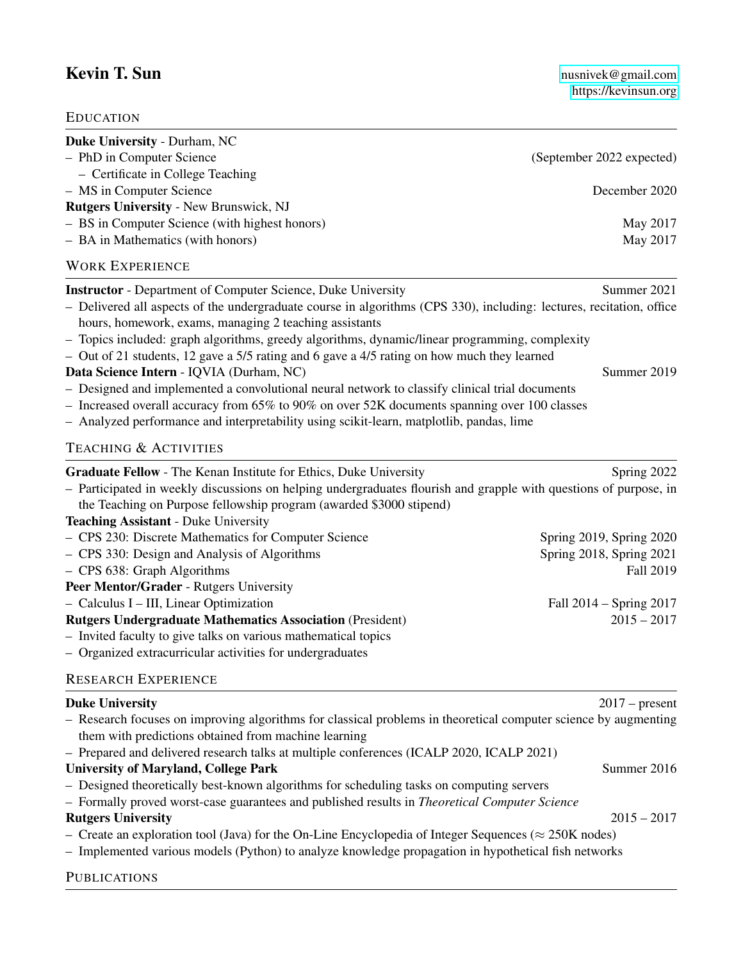## Kevin T. Sun [nusnivek@gmail.com](mailto:nusnivek@gmail.com)

| <b>EDUCATION</b>                                                                                                                                                                                                                                                                                                                                                                                                                                       |                           |
|--------------------------------------------------------------------------------------------------------------------------------------------------------------------------------------------------------------------------------------------------------------------------------------------------------------------------------------------------------------------------------------------------------------------------------------------------------|---------------------------|
| Duke University - Durham, NC<br>- PhD in Computer Science<br>- Certificate in College Teaching                                                                                                                                                                                                                                                                                                                                                         | (September 2022 expected) |
| - MS in Computer Science<br><b>Rutgers University - New Brunswick, NJ</b>                                                                                                                                                                                                                                                                                                                                                                              | December 2020             |
| - BS in Computer Science (with highest honors)                                                                                                                                                                                                                                                                                                                                                                                                         | May 2017                  |
| - BA in Mathematics (with honors)                                                                                                                                                                                                                                                                                                                                                                                                                      | May 2017                  |
| <b>WORK EXPERIENCE</b>                                                                                                                                                                                                                                                                                                                                                                                                                                 |                           |
| <b>Instructor</b> - Department of Computer Science, Duke University<br>- Delivered all aspects of the undergraduate course in algorithms (CPS 330), including: lectures, recitation, office<br>hours, homework, exams, managing 2 teaching assistants<br>- Topics included: graph algorithms, greedy algorithms, dynamic/linear programming, complexity<br>- Out of 21 students, 12 gave a 5/5 rating and 6 gave a 4/5 rating on how much they learned | Summer 2021               |
| Data Science Intern - IQVIA (Durham, NC)                                                                                                                                                                                                                                                                                                                                                                                                               | Summer 2019               |
| - Designed and implemented a convolutional neural network to classify clinical trial documents<br>- Increased overall accuracy from 65% to 90% on over 52K documents spanning over 100 classes<br>- Analyzed performance and interpretability using scikit-learn, matplotlib, pandas, lime                                                                                                                                                             |                           |
| <b>TEACHING &amp; ACTIVITIES</b>                                                                                                                                                                                                                                                                                                                                                                                                                       |                           |
| Graduate Fellow - The Kenan Institute for Ethics, Duke University<br>- Participated in weekly discussions on helping undergraduates flourish and grapple with questions of purpose, in<br>the Teaching on Purpose fellowship program (awarded \$3000 stipend)<br><b>Teaching Assistant - Duke University</b>                                                                                                                                           | Spring 2022               |
| - CPS 230: Discrete Mathematics for Computer Science                                                                                                                                                                                                                                                                                                                                                                                                   | Spring 2019, Spring 2020  |
| - CPS 330: Design and Analysis of Algorithms                                                                                                                                                                                                                                                                                                                                                                                                           | Spring 2018, Spring 2021  |
| - CPS 638: Graph Algorithms                                                                                                                                                                                                                                                                                                                                                                                                                            | <b>Fall 2019</b>          |
| Peer Mentor/Grader - Rutgers University                                                                                                                                                                                                                                                                                                                                                                                                                |                           |
| - Calculus I - III, Linear Optimization                                                                                                                                                                                                                                                                                                                                                                                                                | Fall 2014 – Spring 2017   |
| <b>Rutgers Undergraduate Mathematics Association (President)</b>                                                                                                                                                                                                                                                                                                                                                                                       | $2015 - 2017$             |
| - Invited faculty to give talks on various mathematical topics<br>Organized extracurricular activities for undergraduates                                                                                                                                                                                                                                                                                                                              |                           |
| <b>RESEARCH EXPERIENCE</b>                                                                                                                                                                                                                                                                                                                                                                                                                             |                           |
| <b>Duke University</b>                                                                                                                                                                                                                                                                                                                                                                                                                                 | $2017$ – present          |
| - Research focuses on improving algorithms for classical problems in theoretical computer science by augmenting<br>them with predictions obtained from machine learning                                                                                                                                                                                                                                                                                |                           |
| - Prepared and delivered research talks at multiple conferences (ICALP 2020, ICALP 2021)                                                                                                                                                                                                                                                                                                                                                               |                           |
| <b>University of Maryland, College Park</b>                                                                                                                                                                                                                                                                                                                                                                                                            | Summer 2016               |
| - Designed theoretically best-known algorithms for scheduling tasks on computing servers<br>- Formally proved worst-case guarantees and published results in Theoretical Computer Science                                                                                                                                                                                                                                                              |                           |
| <b>Rutgers University</b>                                                                                                                                                                                                                                                                                                                                                                                                                              | $2015 - 2017$             |

- Create an exploration tool (Java) for the On-Line Encyclopedia of Integer Sequences ( $\approx$  250K nodes)
- Implemented various models (Python) to analyze knowledge propagation in hypothetical fish networks

## **PUBLICATIONS**